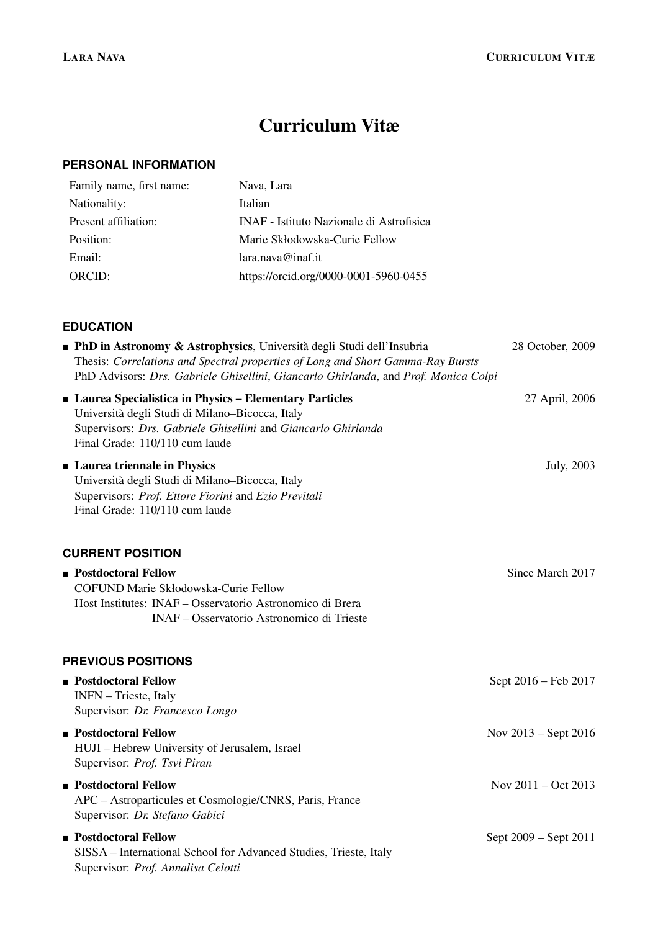# Curriculum Vitæ

### **PERSONAL INFORMATION**

| Family name, first name: | Nava, Lara                               |
|--------------------------|------------------------------------------|
| Nationality:             | Italian                                  |
| Present affiliation:     | INAF - Istituto Nazionale di Astrofisica |
| Position:                | Marie Skłodowska-Curie Fellow            |
| Email:                   | lara.nava@inaf.it                        |
| ORCID:                   | https://orcid.org/0000-0001-5960-0455    |

## **EDUCATION**

| - PhD in Astronomy & Astrophysics, Università degli Studi dell'Insubria<br>Thesis: Correlations and Spectral properties of Long and Short Gamma-Ray Bursts<br>PhD Advisors: Drs. Gabriele Ghisellini, Giancarlo Ghirlanda, and Prof. Monica Colpi | 28 October, 2009              |
|---------------------------------------------------------------------------------------------------------------------------------------------------------------------------------------------------------------------------------------------------|-------------------------------|
| Laurea Specialistica in Physics - Elementary Particles<br>Università degli Studi di Milano-Bicocca, Italy<br>Supervisors: Drs. Gabriele Ghisellini and Giancarlo Ghirlanda<br>Final Grade: 110/110 cum laude                                      | 27 April, 2006                |
| • Laurea triennale in Physics<br>Università degli Studi di Milano-Bicocca, Italy<br>Supervisors: Prof. Ettore Fiorini and Ezio Previtali<br>Final Grade: 110/110 cum laude                                                                        | July, 2003                    |
| <b>CURRENT POSITION</b>                                                                                                                                                                                                                           |                               |
| <b>Postdoctoral Fellow</b><br>COFUND Marie Skłodowska-Curie Fellow<br>Host Institutes: INAF - Osservatorio Astronomico di Brera<br>INAF - Osservatorio Astronomico di Trieste                                                                     | Since March 2017              |
| <b>PREVIOUS POSITIONS</b>                                                                                                                                                                                                                         |                               |
| <b>Postdoctoral Fellow</b><br>INFN - Trieste, Italy<br>Supervisor: Dr. Francesco Longo                                                                                                                                                            | Sept 2016 – Feb 2017          |
| <b>Postdoctoral Fellow</b><br>HUJI - Hebrew University of Jerusalem, Israel<br>Supervisor: Prof. Tsvi Piran                                                                                                                                       | Nov $2013 -$ Sept $2016$      |
| <b>Postdoctoral Fellow</b><br>APC - Astroparticules et Cosmologie/CNRS, Paris, France<br>Supervisor: Dr. Stefano Gabici                                                                                                                           | Nov $2011 - \text{Oct } 2013$ |
| <b>Postdoctoral Fellow</b><br>SISSA - International School for Advanced Studies, Trieste, Italy<br>Supervisor: Prof. Annalisa Celotti                                                                                                             | Sept 2009 – Sept 2011         |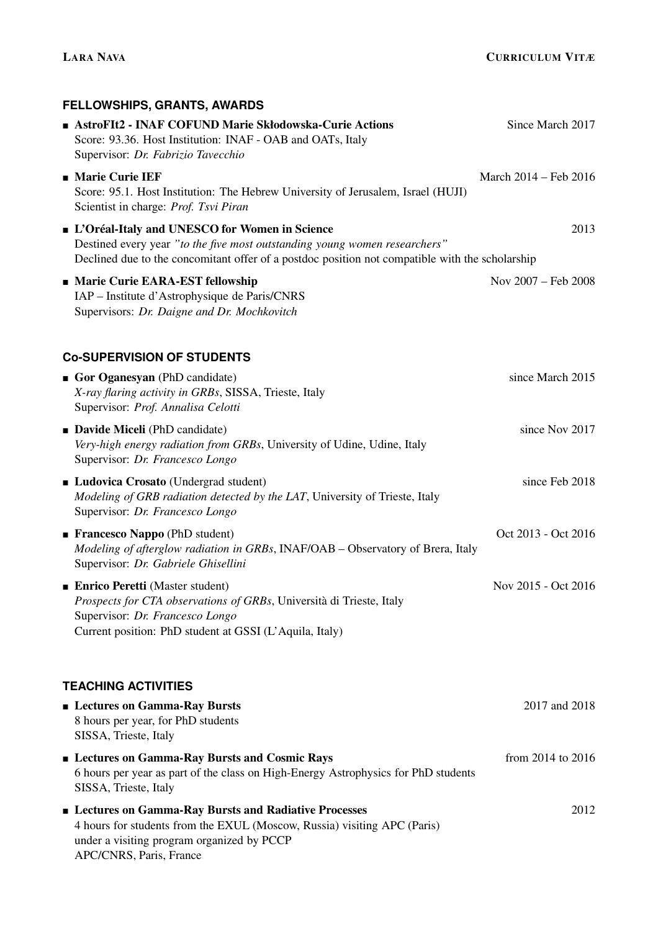# **FELLOWSHIPS, GRANTS, AWARDS AstroFIt2 - INAF COFUND Marie Skłodowska-Curie Actions Since March 2017** Since March 2017 Score: 93.36. Host Institution: INAF - OAB and OATs, Italy Supervisor: *Dr. Fabrizio Tavecchio*  $\blacksquare$  Marie Curie IEF March 2014 – Feb 2016 Score: 95.1. Host Institution: The Hebrew University of Jerusalem, Israel (HUJI) Scientist in charge: *Prof. Tsvi Piran* **L'Oréal-Italy and UNESCO for Women in Science**  $2013$ Destined every year *"to the five most outstanding young women researchers"* Declined due to the concomitant offer of a postdoc position not compatible with the scholarship ■ Marie Curie EARA-EST fellowship Nov 2007 – Feb 2008 IAP – Institute d'Astrophysique de Paris/CNRS Supervisors: *Dr. Daigne and Dr. Mochkovitch* **Co-SUPERVISION OF STUDENTS** Gor Oganesyan (PhD candidate) since March 2015 *X-ray flaring activity in GRBs*, SISSA, Trieste, Italy Supervisor: *Prof. Annalisa Celotti* **Davide Miceli** (PhD candidate) since Nov 2017 *Very-high energy radiation from GRBs*, University of Udine, Udine, Italy Supervisor: *Dr. Francesco Longo* **Ludovica Crosato** (Undergrad student) since Feb 2018 *Modeling of GRB radiation detected by the LAT*, University of Trieste, Italy Supervisor: *Dr. Francesco Longo* ■ Francesco Nappo (PhD student) Oct 2013 - Oct 2016 *Modeling of afterglow radiation in GRBs*, INAF/OAB – Observatory of Brera, Italy Supervisor: *Dr. Gabriele Ghisellini* ■ Enrico Peretti (Master student) Nov 2015 - Oct 2016 *Prospects for CTA observations of GRBs*, Università di Trieste, Italy Supervisor: *Dr. Francesco Longo* Current position: PhD student at GSSI (L'Aquila, Italy) **TEACHING ACTIVITIES Lectures on Gamma-Ray Bursts** 2017 and 2018 8 hours per year, for PhD students SISSA, Trieste, Italy **Lectures on Gamma-Ray Bursts and Cosmic Rays** from 2014 to 2016 6 hours per year as part of the class on High-Energy Astrophysics for PhD students SISSA, Trieste, Italy **Example 3 Executes on Gamma-Ray Bursts and Radiative Processes** 2012 4 hours for students from the EXUL (Moscow, Russia) visiting APC (Paris) under a visiting program organized by PCCP APC/CNRS, Paris, France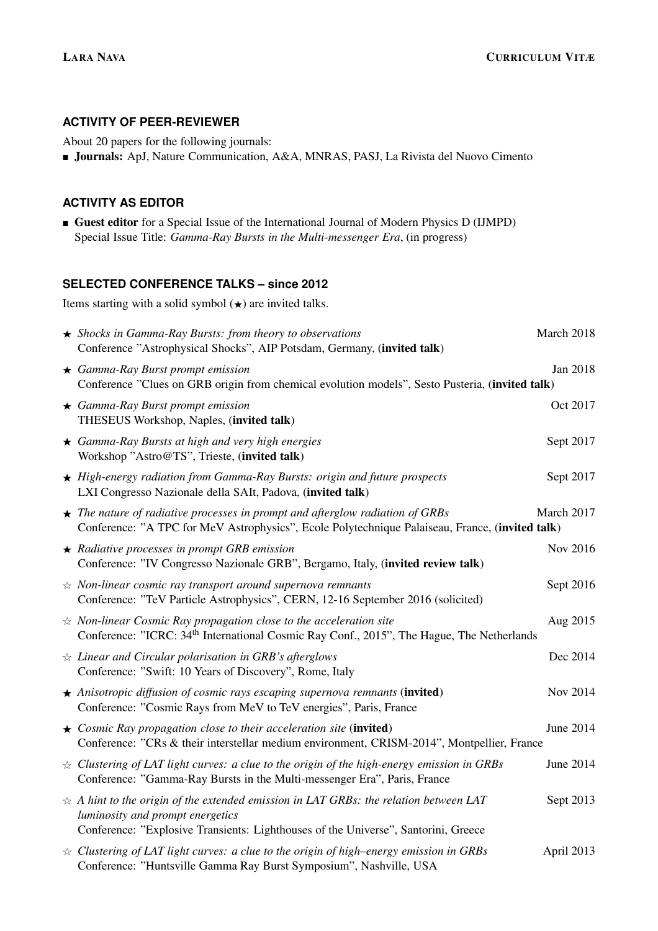#### **ACTIVITY OF PEER-REVIEWER**

About 20 papers for the following journals:

Journals: ApJ, Nature Communication, A&A, MNRAS, PASJ, La Rivista del Nuovo Cimento

#### **ACTIVITY AS EDITOR**

Guest editor for a Special Issue of the International Journal of Modern Physics D (IJMPD) Special Issue Title: *Gamma-Ray Bursts in the Multi-messenger Era*, (in progress)

#### **SELECTED CONFERENCE TALKS – since 2012**

Items starting with a solid symbol  $(\star)$  are invited talks.

| $\star$ Shocks in Gamma-Ray Bursts: from theory to observations<br>Conference "Astrophysical Shocks", AIP Potsdam, Germany, (invited talk)                                                                                    | March 2018 |
|-------------------------------------------------------------------------------------------------------------------------------------------------------------------------------------------------------------------------------|------------|
| $\star$ Gamma-Ray Burst prompt emission<br>Conference "Clues on GRB origin from chemical evolution models", Sesto Pusteria, (invited talk)                                                                                    | Jan 2018   |
| $\star$ Gamma-Ray Burst prompt emission<br>THESEUS Workshop, Naples, (invited talk)                                                                                                                                           | Oct 2017   |
| $\star$ Gamma-Ray Bursts at high and very high energies<br>Workshop "Astro@TS", Trieste, (invited talk)                                                                                                                       | Sept 2017  |
| $\star$ High-energy radiation from Gamma-Ray Bursts: origin and future prospects<br>LXI Congresso Nazionale della SAIt, Padova, (invited talk)                                                                                | Sept 2017  |
| $\star$ The nature of radiative processes in prompt and afterglow radiation of GRBs<br>Conference: "A TPC for MeV Astrophysics", Ecole Polytechnique Palaiseau, France, (invited talk)                                        | March 2017 |
| $\star$ Radiative processes in prompt GRB emission<br>Conference: "IV Congresso Nazionale GRB", Bergamo, Italy, (invited review talk)                                                                                         | Nov 2016   |
| $\angle$ Non-linear cosmic ray transport around supernova remnants<br>Conference: "TeV Particle Astrophysics", CERN, 12-16 September 2016 (solicited)                                                                         | Sept 2016  |
| $\dot{\mathcal{R}}$ Non-linear Cosmic Ray propagation close to the acceleration site<br>Conference: "ICRC: 34 <sup>th</sup> International Cosmic Ray Conf., 2015", The Hague, The Netherlands                                 | Aug 2015   |
| $\star$ Linear and Circular polarisation in GRB's afterglows<br>Conference: "Swift: 10 Years of Discovery", Rome, Italy                                                                                                       | Dec 2014   |
| $\star$ Anisotropic diffusion of cosmic rays escaping supernova remnants (invited)<br>Conference: "Cosmic Rays from MeV to TeV energies", Paris, France                                                                       | Nov 2014   |
| $\star$ Cosmic Ray propagation close to their acceleration site (invited)<br>Conference: "CRs & their interstellar medium environment, CRISM-2014", Montpellier, France                                                       | June 2014  |
| $\angle$ Clustering of LAT light curves: a clue to the origin of the high-energy emission in GRBs<br>Conference: "Gamma-Ray Bursts in the Multi-messenger Era", Paris, France                                                 | June 2014  |
| $\dot{\varphi}$ A hint to the origin of the extended emission in LAT GRBs: the relation between LAT<br>luminosity and prompt energetics<br>Conference: "Explosive Transients: Lighthouses of the Universe", Santorini, Greece | Sept 2013  |
| $\angle$ Clustering of LAT light curves: a clue to the origin of high–energy emission in GRBs<br>Conference: "Huntsville Gamma Ray Burst Symposium", Nashville, USA                                                           | April 2013 |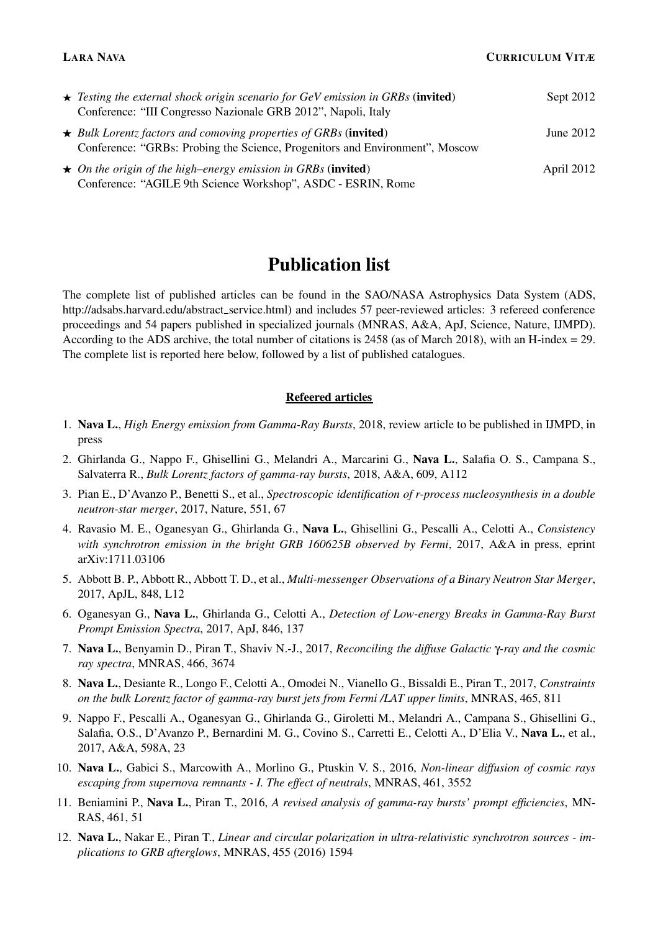| $\star$ Testing the external shock origin scenario for GeV emission in GRBs (invited)                                                                  | Sept 2012  |
|--------------------------------------------------------------------------------------------------------------------------------------------------------|------------|
| Conference: "III Congresso Nazionale GRB 2012", Napoli, Italy                                                                                          |            |
| $\star$ Bulk Lorentz factors and comoving properties of GRBs (invited)<br>Conference: "GRBs: Probing the Science, Progenitors and Environment", Moscow | June 2012  |
| $\star$ On the origin of the high–energy emission in GRBs (invited)<br>Conference: "AGILE 9th Science Workshop", ASDC - ESRIN, Rome                    | April 2012 |

# Publication list

The complete list of published articles can be found in the SAO/NASA Astrophysics Data System (ADS, http://adsabs.harvard.edu/abstract service.html) and includes 57 peer-reviewed articles: 3 refereed conference proceedings and 54 papers published in specialized journals (MNRAS, A&A, ApJ, Science, Nature, IJMPD). According to the ADS archive, the total number of citations is 2458 (as of March 2018), with an H-index = 29. The complete list is reported here below, followed by a list of published catalogues.

#### Refeered articles

- 1. Nava L., *High Energy emission from Gamma-Ray Bursts*, 2018, review article to be published in IJMPD, in press
- 2. Ghirlanda G., Nappo F., Ghisellini G., Melandri A., Marcarini G., Nava L., Salafia O. S., Campana S., Salvaterra R., *Bulk Lorentz factors of gamma-ray bursts*, 2018, A&A, 609, A112
- 3. Pian E., D'Avanzo P., Benetti S., et al., *Spectroscopic identification of r-process nucleosynthesis in a double neutron-star merger*, 2017, Nature, 551, 67
- 4. Ravasio M. E., Oganesyan G., Ghirlanda G., Nava L., Ghisellini G., Pescalli A., Celotti A., *Consistency with synchrotron emission in the bright GRB 160625B observed by Fermi*, 2017, A&A in press, eprint arXiv:1711.03106
- 5. Abbott B. P., Abbott R., Abbott T. D., et al., *Multi-messenger Observations of a Binary Neutron Star Merger*, 2017, ApJL, 848, L12
- 6. Oganesyan G., Nava L., Ghirlanda G., Celotti A., *Detection of Low-energy Breaks in Gamma-Ray Burst Prompt Emission Spectra*, 2017, ApJ, 846, 137
- 7. Nava L., Benyamin D., Piran T., Shaviv N.-J., 2017, *Reconciling the diffuse Galactic* γ*-ray and the cosmic ray spectra*, MNRAS, 466, 3674
- 8. Nava L., Desiante R., Longo F., Celotti A., Omodei N., Vianello G., Bissaldi E., Piran T., 2017, *Constraints on the bulk Lorentz factor of gamma-ray burst jets from Fermi /LAT upper limits*, MNRAS, 465, 811
- 9. Nappo F., Pescalli A., Oganesyan G., Ghirlanda G., Giroletti M., Melandri A., Campana S., Ghisellini G., Salafia, O.S., D'Avanzo P., Bernardini M. G., Covino S., Carretti E., Celotti A., D'Elia V., Nava L., et al., 2017, A&A, 598A, 23
- 10. Nava L., Gabici S., Marcowith A., Morlino G., Ptuskin V. S., 2016, *Non-linear diffusion of cosmic rays escaping from supernova remnants - I. The effect of neutrals*, MNRAS, 461, 3552
- 11. Beniamini P., Nava L., Piran T., 2016, *A revised analysis of gamma-ray bursts' prompt efficiencies*, MN-RAS, 461, 51
- 12. Nava L., Nakar E., Piran T., *Linear and circular polarization in ultra-relativistic synchrotron sources implications to GRB afterglows*, MNRAS, 455 (2016) 1594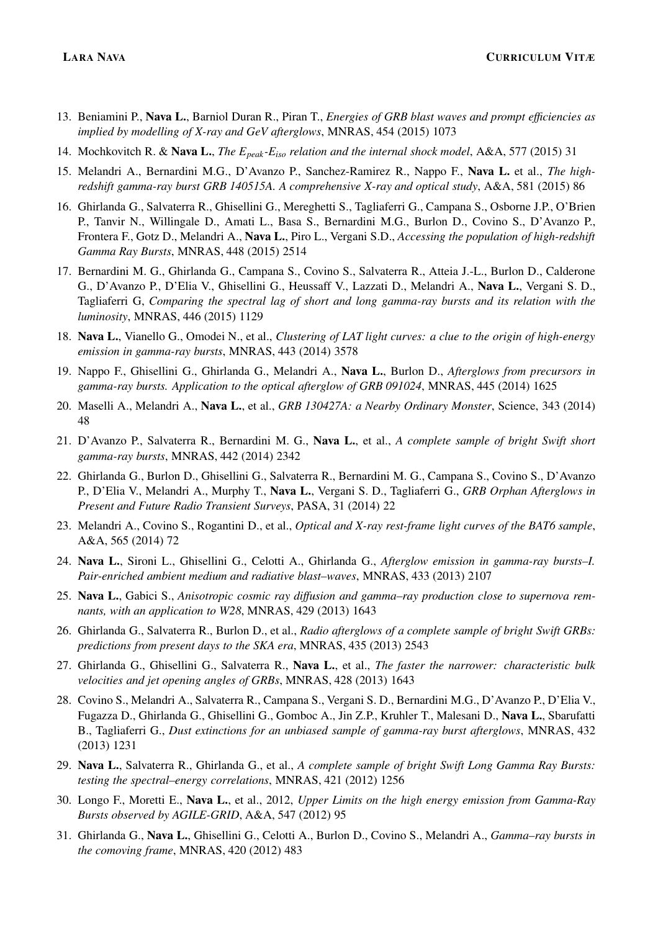- 13. Beniamini P., Nava L., Barniol Duran R., Piran T., *Energies of GRB blast waves and prompt efficiencies as implied by modelling of X-ray and GeV afterglows*, MNRAS, 454 (2015) 1073
- 14. Mochkovitch R. & Nava L., *The Epeak-Eiso relation and the internal shock model*, A&A, 577 (2015) 31
- 15. Melandri A., Bernardini M.G., D'Avanzo P., Sanchez-Ramirez R., Nappo F., Nava L. et al., *The highredshift gamma-ray burst GRB 140515A. A comprehensive X-ray and optical study*, A&A, 581 (2015) 86
- 16. Ghirlanda G., Salvaterra R., Ghisellini G., Mereghetti S., Tagliaferri G., Campana S., Osborne J.P., O'Brien P., Tanvir N., Willingale D., Amati L., Basa S., Bernardini M.G., Burlon D., Covino S., D'Avanzo P., Frontera F., Gotz D., Melandri A., Nava L., Piro L., Vergani S.D., *Accessing the population of high-redshift Gamma Ray Bursts*, MNRAS, 448 (2015) 2514
- 17. Bernardini M. G., Ghirlanda G., Campana S., Covino S., Salvaterra R., Atteia J.-L., Burlon D., Calderone G., D'Avanzo P., D'Elia V., Ghisellini G., Heussaff V., Lazzati D., Melandri A., Nava L., Vergani S. D., Tagliaferri G, *Comparing the spectral lag of short and long gamma-ray bursts and its relation with the luminosity*, MNRAS, 446 (2015) 1129
- 18. Nava L., Vianello G., Omodei N., et al., *Clustering of LAT light curves: a clue to the origin of high-energy emission in gamma-ray bursts*, MNRAS, 443 (2014) 3578
- 19. Nappo F., Ghisellini G., Ghirlanda G., Melandri A., Nava L., Burlon D., *Afterglows from precursors in gamma-ray bursts. Application to the optical afterglow of GRB 091024*, MNRAS, 445 (2014) 1625
- 20. Maselli A., Melandri A., Nava L., et al., *GRB 130427A: a Nearby Ordinary Monster*, Science, 343 (2014) 48
- 21. D'Avanzo P., Salvaterra R., Bernardini M. G., Nava L., et al., *A complete sample of bright Swift short gamma-ray bursts*, MNRAS, 442 (2014) 2342
- 22. Ghirlanda G., Burlon D., Ghisellini G., Salvaterra R., Bernardini M. G., Campana S., Covino S., D'Avanzo P., D'Elia V., Melandri A., Murphy T., Nava L., Vergani S. D., Tagliaferri G., *GRB Orphan Afterglows in Present and Future Radio Transient Surveys*, PASA, 31 (2014) 22
- 23. Melandri A., Covino S., Rogantini D., et al., *Optical and X-ray rest-frame light curves of the BAT6 sample*, A&A, 565 (2014) 72
- 24. Nava L., Sironi L., Ghisellini G., Celotti A., Ghirlanda G., *Afterglow emission in gamma-ray bursts–I. Pair-enriched ambient medium and radiative blast–waves*, MNRAS, 433 (2013) 2107
- 25. Nava L., Gabici S., *Anisotropic cosmic ray diffusion and gamma–ray production close to supernova remnants, with an application to W28*, MNRAS, 429 (2013) 1643
- 26. Ghirlanda G., Salvaterra R., Burlon D., et al., *Radio afterglows of a complete sample of bright Swift GRBs: predictions from present days to the SKA era*, MNRAS, 435 (2013) 2543
- 27. Ghirlanda G., Ghisellini G., Salvaterra R., Nava L., et al., *The faster the narrower: characteristic bulk velocities and jet opening angles of GRBs*, MNRAS, 428 (2013) 1643
- 28. Covino S., Melandri A., Salvaterra R., Campana S., Vergani S. D., Bernardini M.G., D'Avanzo P., D'Elia V., Fugazza D., Ghirlanda G., Ghisellini G., Gomboc A., Jin Z.P., Kruhler T., Malesani D., Nava L., Sbarufatti B., Tagliaferri G., *Dust extinctions for an unbiased sample of gamma-ray burst afterglows*, MNRAS, 432 (2013) 1231
- 29. Nava L., Salvaterra R., Ghirlanda G., et al., *A complete sample of bright Swift Long Gamma Ray Bursts: testing the spectral–energy correlations*, MNRAS, 421 (2012) 1256
- 30. Longo F., Moretti E., Nava L., et al., 2012, *Upper Limits on the high energy emission from Gamma-Ray Bursts observed by AGILE-GRID*, A&A, 547 (2012) 95
- 31. Ghirlanda G., Nava L., Ghisellini G., Celotti A., Burlon D., Covino S., Melandri A., *Gamma–ray bursts in the comoving frame*, MNRAS, 420 (2012) 483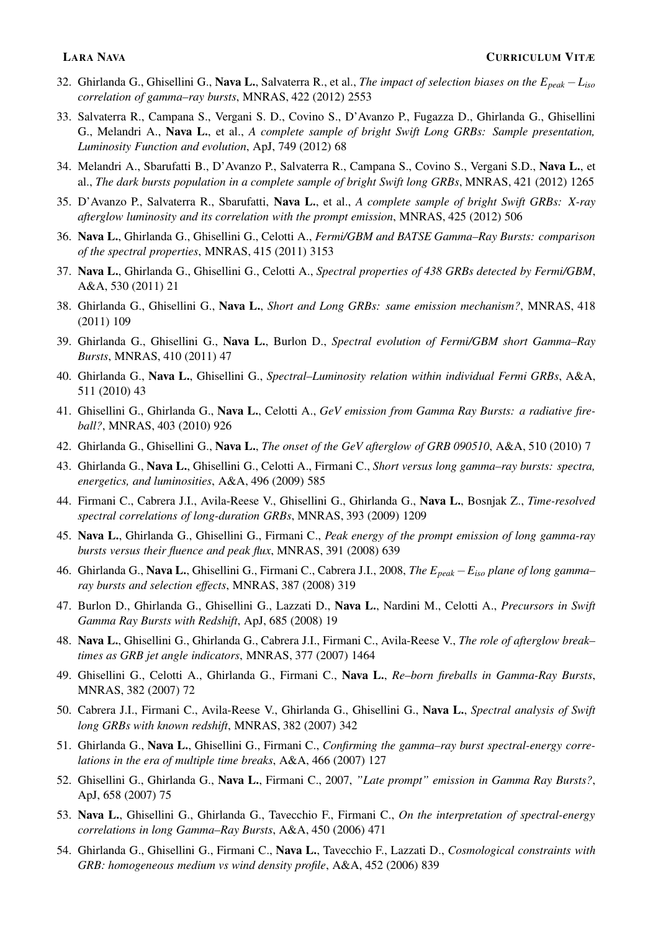- 32. Ghirlanda G., Ghisellini G., Nava L., Salvaterra R., et al., *The impact of selection biases on the Epeak* −*Liso correlation of gamma–ray bursts*, MNRAS, 422 (2012) 2553
- 33. Salvaterra R., Campana S., Vergani S. D., Covino S., D'Avanzo P., Fugazza D., Ghirlanda G., Ghisellini G., Melandri A., Nava L., et al., *A complete sample of bright Swift Long GRBs: Sample presentation, Luminosity Function and evolution*, ApJ, 749 (2012) 68
- 34. Melandri A., Sbarufatti B., D'Avanzo P., Salvaterra R., Campana S., Covino S., Vergani S.D., Nava L., et al., *The dark bursts population in a complete sample of bright Swift long GRBs*, MNRAS, 421 (2012) 1265
- 35. D'Avanzo P., Salvaterra R., Sbarufatti, Nava L., et al., *A complete sample of bright Swift GRBs: X-ray afterglow luminosity and its correlation with the prompt emission*, MNRAS, 425 (2012) 506
- 36. Nava L., Ghirlanda G., Ghisellini G., Celotti A., *Fermi/GBM and BATSE Gamma–Ray Bursts: comparison of the spectral properties*, MNRAS, 415 (2011) 3153
- 37. Nava L., Ghirlanda G., Ghisellini G., Celotti A., *Spectral properties of 438 GRBs detected by Fermi/GBM*, A&A, 530 (2011) 21
- 38. Ghirlanda G., Ghisellini G., Nava L., *Short and Long GRBs: same emission mechanism?*, MNRAS, 418 (2011) 109
- 39. Ghirlanda G., Ghisellini G., Nava L., Burlon D., *Spectral evolution of Fermi/GBM short Gamma–Ray Bursts*, MNRAS, 410 (2011) 47
- 40. Ghirlanda G., Nava L., Ghisellini G., *Spectral–Luminosity relation within individual Fermi GRBs*, A&A, 511 (2010) 43
- 41. Ghisellini G., Ghirlanda G., Nava L., Celotti A., *GeV emission from Gamma Ray Bursts: a radiative fireball?*, MNRAS, 403 (2010) 926
- 42. Ghirlanda G., Ghisellini G., Nava L., *The onset of the GeV afterglow of GRB 090510*, A&A, 510 (2010) 7
- 43. Ghirlanda G., Nava L., Ghisellini G., Celotti A., Firmani C., *Short versus long gamma–ray bursts: spectra, energetics, and luminosities*, A&A, 496 (2009) 585
- 44. Firmani C., Cabrera J.I., Avila-Reese V., Ghisellini G., Ghirlanda G., Nava L., Bosnjak Z., *Time-resolved spectral correlations of long-duration GRBs*, MNRAS, 393 (2009) 1209
- 45. Nava L., Ghirlanda G., Ghisellini G., Firmani C., *Peak energy of the prompt emission of long gamma-ray bursts versus their fluence and peak flux*, MNRAS, 391 (2008) 639
- 46. Ghirlanda G., Nava L., Ghisellini G., Firmani C., Cabrera J.I., 2008, *The Epeak* −*Eiso plane of long gamma– ray bursts and selection effects*, MNRAS, 387 (2008) 319
- 47. Burlon D., Ghirlanda G., Ghisellini G., Lazzati D., Nava L., Nardini M., Celotti A., *Precursors in Swift Gamma Ray Bursts with Redshift*, ApJ, 685 (2008) 19
- 48. Nava L., Ghisellini G., Ghirlanda G., Cabrera J.I., Firmani C., Avila-Reese V., *The role of afterglow break– times as GRB jet angle indicators*, MNRAS, 377 (2007) 1464
- 49. Ghisellini G., Celotti A., Ghirlanda G., Firmani C., Nava L., *Re–born fireballs in Gamma-Ray Bursts*, MNRAS, 382 (2007) 72
- 50. Cabrera J.I., Firmani C., Avila-Reese V., Ghirlanda G., Ghisellini G., Nava L., *Spectral analysis of Swift long GRBs with known redshift*, MNRAS, 382 (2007) 342
- 51. Ghirlanda G., Nava L., Ghisellini G., Firmani C., *Confirming the gamma–ray burst spectral-energy correlations in the era of multiple time breaks*, A&A, 466 (2007) 127
- 52. Ghisellini G., Ghirlanda G., Nava L., Firmani C., 2007, *"Late prompt" emission in Gamma Ray Bursts?*, ApJ, 658 (2007) 75
- 53. Nava L., Ghisellini G., Ghirlanda G., Tavecchio F., Firmani C., *On the interpretation of spectral-energy correlations in long Gamma–Ray Bursts*, A&A, 450 (2006) 471
- 54. Ghirlanda G., Ghisellini G., Firmani C., Nava L., Tavecchio F., Lazzati D., *Cosmological constraints with GRB: homogeneous medium vs wind density profile*, A&A, 452 (2006) 839